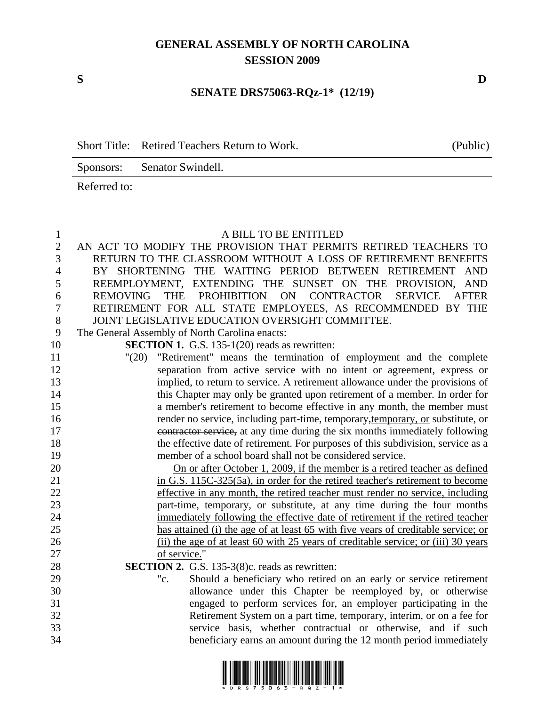## **GENERAL ASSEMBLY OF NORTH CAROLINA SESSION 2009**

**S D** 

## **SENATE DRS75063-RQz-1\* (12/19)**

Short Title: Retired Teachers Return to Work. (Public)

Sponsors: Senator Swindell.

Referred to:

| $\mathbf{1}$     | A BILL TO BE ENTITLED                                                                                                                      |
|------------------|--------------------------------------------------------------------------------------------------------------------------------------------|
| $\sqrt{2}$       | AN ACT TO MODIFY THE PROVISION THAT PERMITS RETIRED TEACHERS TO                                                                            |
| 3                | RETURN TO THE CLASSROOM WITHOUT A LOSS OF RETIREMENT BENEFITS                                                                              |
| $\overline{4}$   | BY SHORTENING THE WAITING PERIOD BETWEEN RETIREMENT<br>AND                                                                                 |
| 5                | REEMPLOYMENT, EXTENDING THE SUNSET ON THE PROVISION, AND                                                                                   |
| 6                | REMOVING THE PROHIBITION ON CONTRACTOR<br><b>SERVICE</b><br><b>AFTER</b>                                                                   |
| $\boldsymbol{7}$ | RETIREMENT FOR ALL STATE EMPLOYEES, AS RECOMMENDED BY THE                                                                                  |
| $8\,$            | JOINT LEGISLATIVE EDUCATION OVERSIGHT COMMITTEE.                                                                                           |
| 9                | The General Assembly of North Carolina enacts:                                                                                             |
| 10               | <b>SECTION 1.</b> G.S. 135-1(20) reads as rewritten:                                                                                       |
| 11               | "(20) "Retirement" means the termination of employment and the complete                                                                    |
| 12               | separation from active service with no intent or agreement, express or                                                                     |
| 13               | implied, to return to service. A retirement allowance under the provisions of                                                              |
| 14               | this Chapter may only be granted upon retirement of a member. In order for                                                                 |
| 15               | a member's retirement to become effective in any month, the member must                                                                    |
| 16               | render no service, including part-time, temporary, temporary, or substitute, or                                                            |
| 17               | contractor service, at any time during the six months immediately following                                                                |
| 18               | the effective date of retirement. For purposes of this subdivision, service as a                                                           |
| 19               | member of a school board shall not be considered service.                                                                                  |
| 20               | On or after October 1, 2009, if the member is a retired teacher as defined                                                                 |
| 21               | in G.S. 115C-325(5a), in order for the retired teacher's retirement to become                                                              |
| 22               | effective in any month, the retired teacher must render no service, including                                                              |
| 23               | part-time, temporary, or substitute, at any time during the four months                                                                    |
| 24               | immediately following the effective date of retirement if the retired teacher                                                              |
| 25               | has attained (i) the age of at least 65 with five years of creditable service; or                                                          |
| 26               | (ii) the age of at least 60 with 25 years of creditable service; or (iii) 30 years                                                         |
| 27               | of service."                                                                                                                               |
| 28               | SECTION 2. G.S. 135-3(8)c. reads as rewritten:                                                                                             |
| 29<br>30         | Should a beneficiary who retired on an early or service retirement<br>"c.                                                                  |
| 31               | allowance under this Chapter be reemployed by, or otherwise                                                                                |
| 32               | engaged to perform services for, an employer participating in the<br>Retirement System on a part time, temporary, interim, or on a fee for |
| 33               | service basis, whether contractual or otherwise, and if such                                                                               |
| 34               | beneficiary earns an amount during the 12 month period immediately                                                                         |
|                  |                                                                                                                                            |

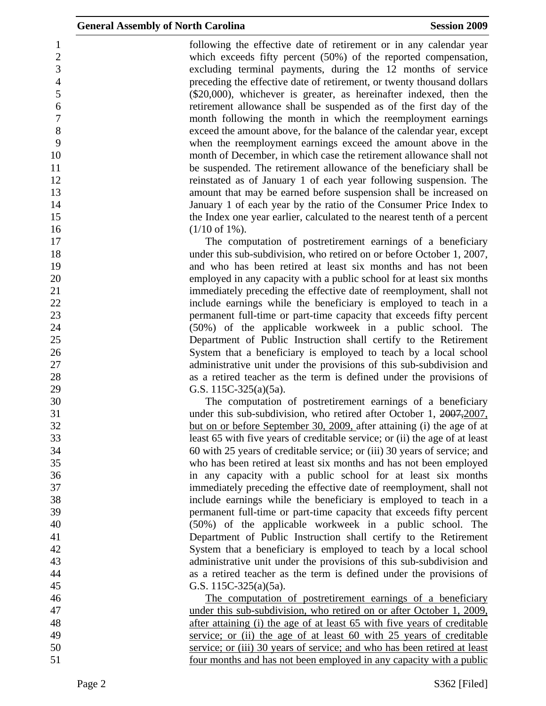1 following the effective date of retirement or in any calendar year 2 which exceeds fifty percent (50%) of the reported compensation, 3 excluding terminal payments, during the 12 months of service 4 preceding the effective date of retirement, or twenty thousand dollars 5 (\$20,000), whichever is greater, as hereinafter indexed, then the 6 retirement allowance shall be suspended as of the first day of the 7 month following the month in which the reemployment earnings 8 exceed the amount above, for the balance of the calendar year, except 9 when the reemployment earnings exceed the amount above in the 10 month of December, in which case the retirement allowance shall not 11 be suspended. The retirement allowance of the beneficiary shall be 12 reinstated as of January 1 of each year following suspension. The 13 amount that may be earned before suspension shall be increased on 14 January 1 of each year by the ratio of the Consumer Price Index to 15 the Index one year earlier, calculated to the nearest tenth of a percent  $16$  (1/10 of 1%).

17 The computation of postretirement earnings of a beneficiary 18 under this sub-subdivision, who retired on or before October 1, 2007, 19 and who has been retired at least six months and has not been 20 employed in any capacity with a public school for at least six months 21 immediately preceding the effective date of reemployment, shall not 22 include earnings while the beneficiary is employed to teach in a 23 permanent full-time or part-time capacity that exceeds fifty percent 24 (50%) of the applicable workweek in a public school. The 25 Department of Public Instruction shall certify to the Retirement 26 System that a beneficiary is employed to teach by a local school 27 administrative unit under the provisions of this sub-subdivision and 28 as a retired teacher as the term is defined under the provisions of 29 G.S. 115C-325(a)(5a).

30 The computation of postretirement earnings of a beneficiary 31 under this sub-subdivision, who retired after October 1, 2007, 2007, 32 but on or before September 30, 2009, after attaining (i) the age of at 33 least 65 with five years of creditable service; or (ii) the age of at least 34 60 with 25 years of creditable service; or (iii) 30 years of service; and 35 who has been retired at least six months and has not been employed 36 in any capacity with a public school for at least six months 37 immediately preceding the effective date of reemployment, shall not 38 include earnings while the beneficiary is employed to teach in a 39 permanent full-time or part-time capacity that exceeds fifty percent 40 (50%) of the applicable workweek in a public school. The 41 Department of Public Instruction shall certify to the Retirement 42 System that a beneficiary is employed to teach by a local school 43 administrative unit under the provisions of this sub-subdivision and 44 as a retired teacher as the term is defined under the provisions of 45 G.S. 115C-325(a)(5a).

46 The computation of postretirement earnings of a beneficiary 47 under this sub-subdivision, who retired on or after October 1, 2009, 48 after attaining (i) the age of at least 65 with five years of creditable 49 service; or (ii) the age of at least 60 with 25 years of creditable 50 service; or (iii) 30 years of service; and who has been retired at least 51 four months and has not been employed in any capacity with a public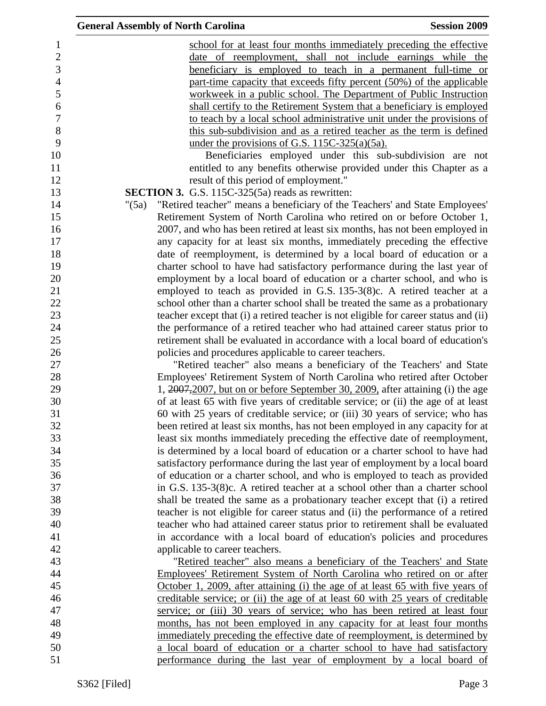| <b>General Assembly of North Carolina</b>                                             | <b>Session 2009</b> |
|---------------------------------------------------------------------------------------|---------------------|
| school for at least four months immediately preceding the effective                   |                     |
| date of reemployment, shall not include earnings while the                            |                     |
| beneficiary is employed to teach in a permanent full-time or                          |                     |
| part-time capacity that exceeds fifty percent (50%) of the applicable                 |                     |
| workweek in a public school. The Department of Public Instruction                     |                     |
| shall certify to the Retirement System that a beneficiary is employed                 |                     |
| to teach by a local school administrative unit under the provisions of                |                     |
| this sub-subdivision and as a retired teacher as the term is defined                  |                     |
| under the provisions of G.S. $115C-325(a)(5a)$ .                                      |                     |
| Beneficiaries employed under this sub-subdivision are not                             |                     |
| entitled to any benefits otherwise provided under this Chapter as a                   |                     |
| result of this period of employment."                                                 |                     |
| <b>SECTION 3.</b> G.S. 115C-325(5a) reads as rewritten:                               |                     |
| "Retired teacher" means a beneficiary of the Teachers' and State Employees'<br>"(5a)  |                     |
| Retirement System of North Carolina who retired on or before October 1,               |                     |
| 2007, and who has been retired at least six months, has not been employed in          |                     |
| any capacity for at least six months, immediately preceding the effective             |                     |
| date of reemployment, is determined by a local board of education or a                |                     |
| charter school to have had satisfactory performance during the last year of           |                     |
| employment by a local board of education or a charter school, and who is              |                     |
| employed to teach as provided in G.S. 135-3(8)c. A retired teacher at a               |                     |
| school other than a charter school shall be treated the same as a probationary        |                     |
| teacher except that (i) a retired teacher is not eligible for career status and (ii)  |                     |
| the performance of a retired teacher who had attained career status prior to          |                     |
| retirement shall be evaluated in accordance with a local board of education's         |                     |
| policies and procedures applicable to career teachers.                                |                     |
| "Retired teacher" also means a beneficiary of the Teachers' and State                 |                     |
| Employees' Retirement System of North Carolina who retired after October              |                     |
| 1, 2007, 2007, but on or before September 30, 2009, after attaining (i) the age       |                     |
| of at least 65 with five years of creditable service; or (ii) the age of at least     |                     |
| 60 with 25 years of creditable service; or (iii) 30 years of service; who has         |                     |
| been retired at least six months, has not been employed in any capacity for at        |                     |
| least six months immediately preceding the effective date of reemployment,            |                     |
| is determined by a local board of education or a charter school to have had           |                     |
|                                                                                       |                     |
| satisfactory performance during the last year of employment by a local board          |                     |
| of education or a charter school, and who is employed to teach as provided            |                     |
| in G.S. 135-3(8)c. A retired teacher at a school other than a charter school          |                     |
| shall be treated the same as a probationary teacher except that (i) a retired         |                     |
| teacher is not eligible for career status and (ii) the performance of a retired       |                     |
| teacher who had attained career status prior to retirement shall be evaluated         |                     |
| in accordance with a local board of education's policies and procedures               |                     |
| applicable to career teachers.                                                        |                     |
| "Retired teacher" also means a beneficiary of the Teachers' and State                 |                     |
| Employees' Retirement System of North Carolina who retired on or after                |                     |
| <u>October 1, 2009, after attaining (i) the age of at least 65 with five years of</u> |                     |
| creditable service; or (ii) the age of at least 60 with 25 years of creditable        |                     |
| service; or (iii) 30 years of service; who has been retired at least four             |                     |
| months, has not been employed in any capacity for at least four months                |                     |
| immediately preceding the effective date of reemployment, is determined by            |                     |
| a local board of education or a charter school to have had satisfactory               |                     |
| performance during the last year of employment by a local board of                    |                     |